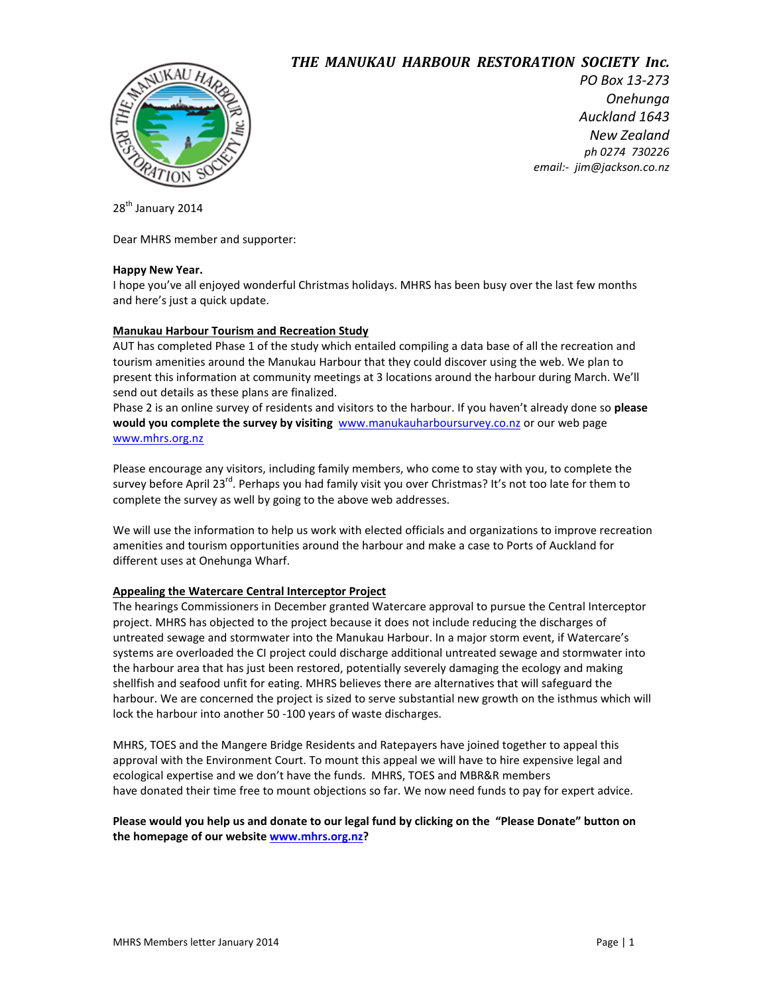# *THE\$\$MANUKAU\$\$HARBOUR\$\$RESTORATION!!SOCIETY\$\$Inc.*



*PO Box 13-273 Onehunga# Auckland#1643 New#Zealand ph#0274##730226 email:)##jim@jackson.co.nz#######################*

28<sup>th</sup> January 2014

Dear MHRS member and supporter:

### **Happy New Year.**

I hope you've all enjoyed wonderful Christmas holidays. MHRS has been busy over the last few months and here's just a quick update.

### **Manukau Harbour Tourism and Recreation Study**

AUT has completed Phase 1 of the study which entailed compiling a data base of all the recreation and tourism amenities around the Manukau Harbour that they could discover using the web. We plan to present this information at community meetings at 3 locations around the harbour during March. We'll send out details as these plans are finalized.

Phase 2 is an online survey of residents and visitors to the harbour. If you haven't already done so please **would you complete the survey by visiting** [www.manukauharboursurvey.co.nz](http://www.manukauharboursurvey.co.nz/) or our web page [www.mhrs.org.nz](http://www.mhrs.org.nz/)

Please encourage any visitors, including family members, who come to stay with you, to complete the survey before April 23<sup>rd</sup>. Perhaps you had family visit you over Christmas? It's not too late for them to complete the survey as well by going to the above web addresses.

We will use the information to help us work with elected officials and organizations to improve recreation amenities and tourism opportunities around the harbour and make a case to Ports of Auckland for different uses at Onehunga Wharf.

#### **Appealing the Watercare Central Interceptor Project**

The hearings Commissioners in December granted Watercare approval to pursue the Central Interceptor project. MHRS has objected to the project because it does not include reducing the discharges of untreated sewage and stormwater into the Manukau Harbour. In a major storm event, if Watercare's systems are overloaded the CI project could discharge additional untreated sewage and stormwater into the harbour area that has just been restored, potentially severely damaging the ecology and making shellfish and seafood unfit for eating. MHRS believes there are alternatives that will safeguard the harbour. We are concerned the project is sized to serve substantial new growth on the isthmus which will lock the harbour into another 50 -100 years of waste discharges.

MHRS, TOES and the Mangere Bridge Residents and Ratepayers have joined together to appeal this approval with the Environment Court. To mount this appeal we will have to hire expensive legal and ecological expertise and we don't have the funds. MHRS, TOES and MBR&R members have donated their time free to mount objections so far. We now need funds to pay for expert advice.

## Please would you help us and donate to our legal fund by clicking on the "Please Donate" button on **the%homepage%of%our%website[%www.mhrs.org.nz?](http://www.mhrs.org.nz/)**